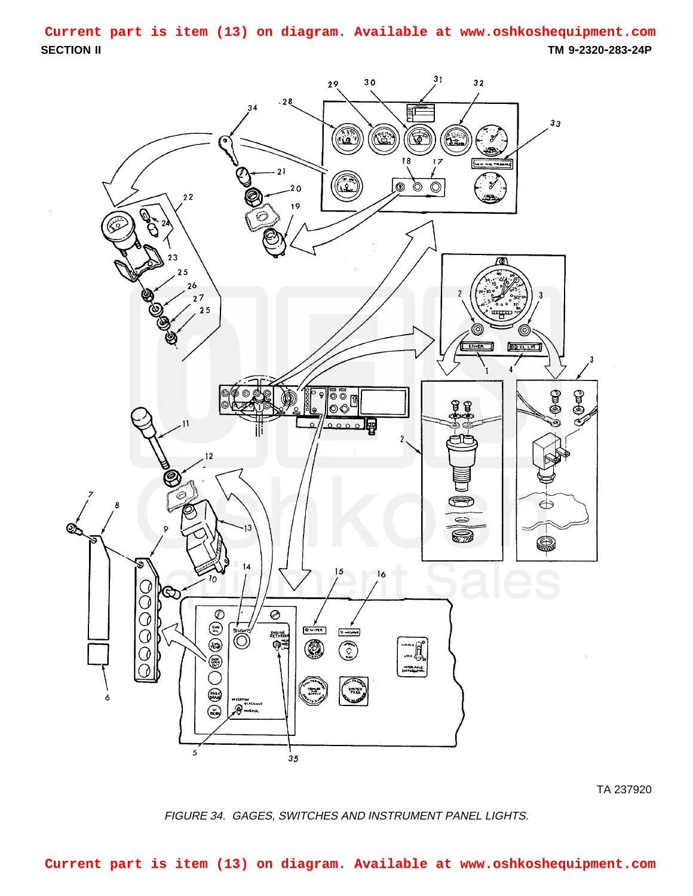<span id="page-0-0"></span>**SECTION II TM 9-2320-283-24P Current part is item (13) on diagram. Available at www.oshkoshequipment.com**



TA 237920

FIGURE 34. GAGES, SWITCHES AND INSTRUMENT PANEL LIGHTS.

**Current part is item (13) on diagram. Available at www.oshkoshequipment.com**